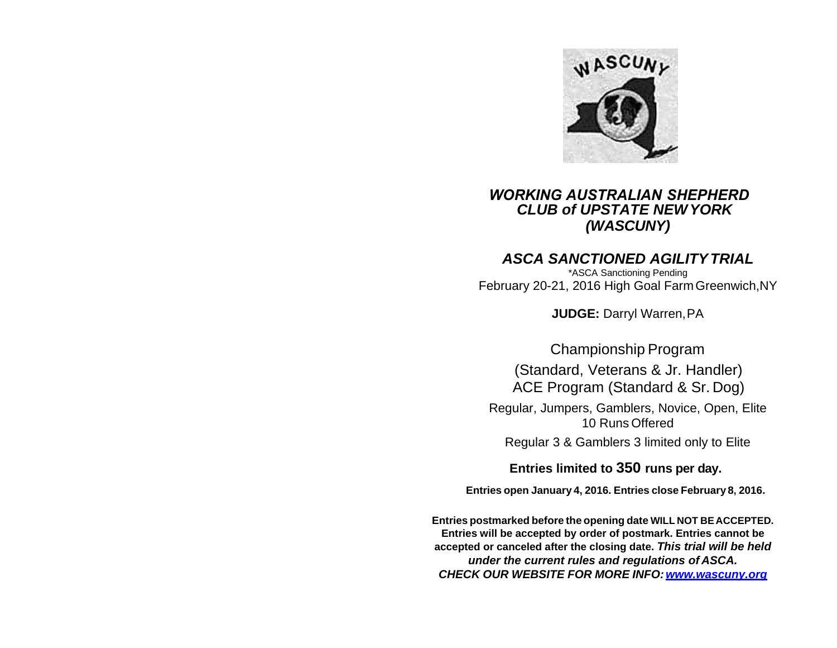

# *WORKING AUSTRALIAN SHEPHERD CLUB of UPSTATE NEWYORK (WASCUNY)*

# *ASCA SANCTIONED AGILITYTRIAL*

\*ASCA Sanctioning Pending February 20-21, 2016 High Goal Farm Greenwich,NY

**JUDGE:** Darryl Warren,PA

Championship Program (Standard, Veterans & Jr. Handler) ACE Program (Standard & Sr. Dog)

Regular, Jumpers, Gamblers, Novice, Open, Elite 10 Runs Offered

Regular 3 & Gamblers 3 limited only to Elite

**Entries limited to 350 runs per day.**

**Entries open January 4, 2016. Entries close February 8, 2016.**

**Entries postmarked before the opening date WILL NOT BE ACCEPTED. Entries will be accepted by order of postmark. Entries cannot be accepted or canceled after the closing date.** *[This trial will be](http://www.wascuny.com/) held under the current rules and regulations of ASCA. CHECK OUR WEBSITE FOR MORE [INFO:www.wascuny.org](http://www.wascuny.org/)*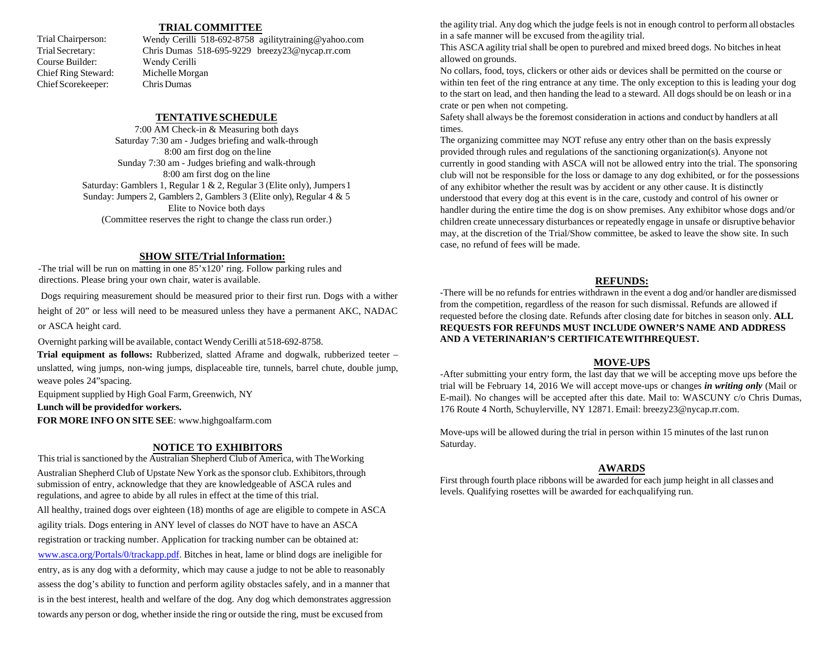## **TRIAL COMMITTEE**

Trial Chairperson: Trial Secretary: Course Builder: Chief Ring Steward: Chief Scorekeeper:

Wendy Cerilli [518-692-8758 agilitytraining@yahoo.com](mailto:WendyCerilli518-692-8758agilitytraining@yahoo.com) [Chris Dumas 518-695-9229 breezy23@nycap.rr.com](mailto:Chris%20Dumas%20518-695-9229%20breezy23@nycap.rr.com) Wendy Cerilli Michelle Morgan Chris Dumas

### **TENTATIVESCHEDULE**

7:00 AM Check-in & Measuring both days Saturday 7:30 am - Judges briefing and walk-through 8:00 am first dog on the line Sunday 7:30 am - Judges briefing and walk-through 8:00 am first dog on the line Saturday: Gamblers 1, Regular 1 & 2, Regular 3 (Elite only), Jumpers 1 Sunday: Jumpers 2, Gamblers 2, Gamblers 3 (Elite only), Regular 4 & 5 Elite to Novice both days (Committee reserves the right to change the class run order.)

#### **SHOW SITE/TrialInformation:**

-The trial will be run on matting in one 85'x120' ring. Follow parking rules and directions. Please bring your own chair, water is available.

Dogs requiring measurement should be measured prior to their first run. Dogs with a wither

height of 20" or less will need to be measured unless they have a permanent AKC, NADAC or ASCA height card.

Overnight parking will be available, contact Wendy Cerilli at518-692-8758.

**Trial equipment as follows:** Rubberized, slatted Aframe and dogwalk, rubberized teeter – unslatted, wing jumps, non-wing jumps, displaceable tire, tunnels, barrel chute, double jump, weave poles 24"spacing.

Equipment supplied by High Goal Farm, Greenwich, NY

**Lunch will be providedfor workers.**

**FOR MORE INFO ON SITE SEE**: [www.highgoalfarm.com](http://www.highgoalfarm.com/)

## **NOTICE TO EXHIBITORS**

This trial is sanctioned by the Australian Shepherd Club of America, with The Working Australian Shepherd Club of Upstate New York as the sponsor club. Exhibitors, through submission of entry, acknowledge that they are knowledgeable of ASCA rules and regulations, and agree to abide by all rules in effect at the time of this trial.

All healthy, trained dogs over eighteen (18) months of age are eligible to compete in ASCA agility trials. Dogs entering in ANY level of classes do NOT have to have an ASCA registration or tracking number. Application for tracking number can be obtained at: [www.asca.org/Portals/0/trackapp.pdf.](http://www.asca.org/Portals/0/trackapp.pdf) Bitches in heat, lame or blind dogs are ineligible for entry, as is any dog with a deformity, which may cause a judge to not be able to reasonably assess the dog's ability to function and perform agility obstacles safely, and in a manner that is in the best interest, health and welfare of the dog. Any dog which demonstrates aggression towards any person or dog, whether inside the ring or outside the ring, must be excused from

the agility trial. Any dog which the judge feels is not in enough control to perform all obstacles in a safe manner will be excused from the agility trial.

This ASCA agility trial shall be open to purebred and mixed breed dogs. No bitches in heat allowed on grounds.

No collars, food, toys, clickers or other aids or devices shall be permitted on the course or within ten feet of the ring entrance at any time. The only exception to this is leading your dog to the start on lead, and then handing the lead to a steward. All dogs should be on leash or in a crate or pen when not competing.

Safety shall always be the foremost consideration in actions and conduct by handlers at all times.

The organizing committee may NOT refuse any entry other than on the basis expressly provided through rules and regulations of the sanctioning organization(s). Anyone not currently in good standing with ASCA will not be allowed entry into the trial. The sponsoring club will not be responsible for the loss or damage to any dog exhibited, or for the possessions of any exhibitor whether the result was by accident or any other cause. It is distinctly understood that every dog at this event is in the care, custody and control of his owner or handler during the entire time the dog is on show premises. Any exhibitor whose dogs and/or children create unnecessary disturbances or repeatedly engage in unsafe or disruptive behavior may, at the discretion of the Trial/Show committee, be asked to leave the show site. In such case, no refund of fees will be made.

# **REFUNDS:**

-There will be no refunds for entries withdrawn in the event a dog and/or handler are dismissed from the competition, regardless of the reason for such dismissal. Refunds are allowed if requested before the closing date. Refunds after closing date for bitches in season only. **ALL REQUESTS FOR REFUNDS MUST INCLUDE OWNER'S NAME AND ADDRESS AND A VETERINARIAN'S CERTIFICATEWITHREQUEST.**

#### **MOVE-UPS**

-After submitting your entry form, the last day that we will be accepting move ups before the trial will be February 14, 2016 We will accept move-ups or changes *in writing only* (Mail or E-mail). No changes will be accepted after this date. Mail to: WASCUNY c/o Chris Dumas, 176 Route 4 North, Schuylerville, NY 12871. Email: [breezy23@nycap.rr.com](mailto:breezy23@nycap.rr.com).

Move-ups will be allowed during the trial in person within 15 minutes of the last run on Saturday.

# **AWARDS**

First through fourth place ribbons will be awarded for each jump height in all classes and levels. Qualifying rosettes will be awarded for each qualifying run.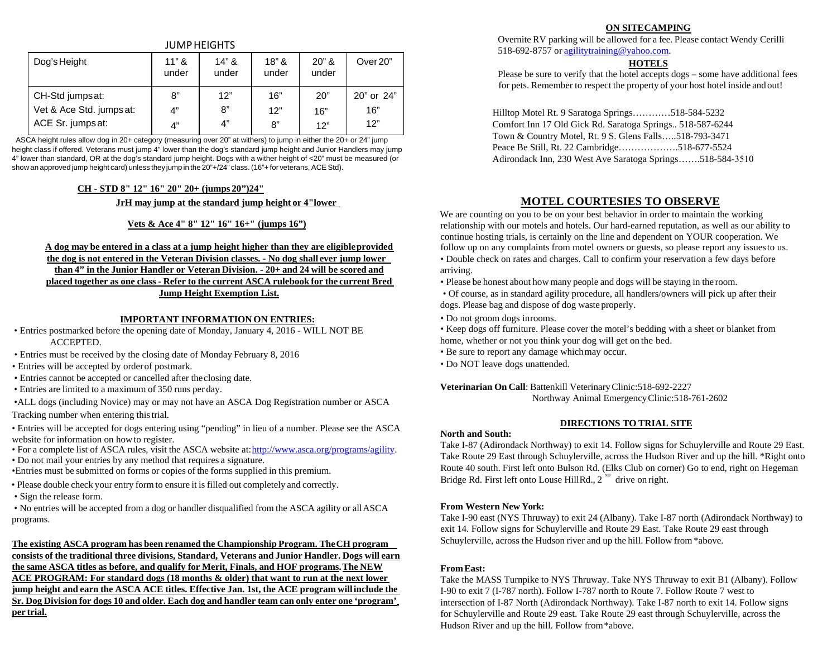### JUMPHEIGHTS

| Dog's Height             | $11"$ &<br>under | $14"$ &<br>under | $18"$ &<br>under | $20"$ &<br>under | Over 20"   |
|--------------------------|------------------|------------------|------------------|------------------|------------|
| CH-Std jumps at:         | 8"               | 12"              | 16"              | 20"              | 20" or 24" |
| Vet & Ace Std. jumps at: | 4"               | 8"               | 12"              | 16"              | 16"        |
| ACE Sr. jumps at:        | 4"               | 4"               | 8"               | 12"              | 12"        |

ASCA height rules allow dog in 20+ category (measuring over 20" at withers) to jump in either the 20+ or 24" jump height class if offered. Veterans must jump 4" lower than the dog's standard jump height and Junior Handlers may jump 4" lower than standard, OR at the dog's standard jump height. Dogs with a wither height of <20" must be measured (or show an approved jump height card) unless theyjump in the 20"+/24" class. (16"+ for veterans, ACE Std).

#### **CH - STD 8" 12" 16" 20" 20+ (jumps 20")24"**

**JrH may jump at the standard jump height or 4"lower**

### **Vets & Ace 4" 8" 12" 16" 16+" (jumps 16")**

## **A dog may be entered in a class at a jump height higher than they are eligibleprovided the dog is not entered in the Veteran Division classes. - No dog shall ever jump lower than 4" in the Junior Handler or Veteran Division. - 20+ and 24 will be scored and placed together as one class - Refer to the current ASCA rulebook for the current Bred Jump Height Exemption List.**

#### **IMPORTANT INFORMATION ON ENTRIES:**

- Entries postmarked before the opening date of Monday, January 4, 2016 WILL NOT BE ACCEPTED.
- Entries must be received by the closing date of Monday February 8, 2016
- Entries will be accepted by order of postmark.
- Entries cannot be accepted or cancelled after the closing date.
- Entries are limited to a maximum of 350 runs per day.

•ALL dogs (including Novice) may or may not have an ASCA Dog Registration number or ASCA Tracking number when entering thistrial.

- Entries will be accepted for dogs entering using "pending" in lieu of a number. Please see the ASCA website for information on howto register.
- For a complete list of ASCA rules, visit the ASCA website at[:http://www.asca.org/programs/agility.](http://www.asca.org/programs/agility)
- Do not mail your entries by any method that requires a signature.

•Entries must be submitted on forms or copies of the forms supplied in this premium.

- Please double check your entry form to ensure it isfilled out completely and correctly.
- Sign the release form.

• No entries will be accepted from a dog or handler disqualified from the ASCA agility or allASCA programs.

### **The existing ASCA program has been renamed the Championship Program. TheCH program consists of the traditional three divisions, Standard, Veterans and Junior Handler. Dogs will earn the same ASCA titles as before, and qualify for Merit, Finals, and HOF programs. The NEW ACE PROGRAM: For standard dogs (18 months & older) that want to run at the next lower jump height and earn the ASCA ACE titles. Effective Jan. 1st, the ACE program willinclude the Sr. Dog Division for dogs 10 and older. Each dog and handler team can only enter one 'program' per trial.**

#### **ON SITECAMPING**

Overnite RV parking will be allowed for a fee. Please contact Wendy Cerilli 518-692-8757 or [agilitytraining@yahoo.com.](mailto:agilitytraining@yahoo.com)

#### **HOTELS**

Please be sure to verify that the hotel accepts dogs – some have additional fees for pets. Remember to respect the property of your host hotel inside and out!

Hilltop Motel Rt. 9 Saratoga Springs…………518-584-5232 Comfort Inn 17 Old Gick Rd. Saratoga Springs.. 518-587-6244 Town & Country Motel, Rt. 9 S. Glens Falls…..518-793-3471 Peace Be Still, Rt. 22 Cambridge……………….518-677-5524 Adirondack Inn, 230 West Ave Saratoga Springs…….518-584-3510

# **MOTEL COURTESIES TO OBSERVE**

We are counting on you to be on your best behavior in order to maintain the working relationship with our motels and hotels. Our hard-earned reputation, as well as our ability to continue hosting trials, is certainly on the line and dependent on YOUR cooperation. We follow up on any complaints from motel owners or guests, so please report any issuesto us. • Double check on rates and charges. Call to confirm your reservation a few days before arriving.

• Please be honest about how many people and dogs will be staying in the room.

• Of course, as in standard agility procedure, all handlers/owners will pick up after their dogs. Please bag and dispose of dog waste properly.

• Do not groom dogs in rooms.

• Keep dogs off furniture. Please cover the motel's bedding with a sheet or blanket from home, whether or not you think your dog will get on the bed.

- Be sure to report any damage whichmay occur.
- Do NOT leave dogs unattended.

#### **Veterinarian On Call**: Battenkill Veterinary Clinic:518-692-2227

Northway Animal Emergency Clinic:518-761-2602

#### **DIRECTIONS TO TRIAL SITE**

#### **North and South:**

Bridge Rd. First left onto Louse Hill Rd.,  $2^{ND}$  drive on right. Take I-87 (Adirondack Northway) to exit 14. Follow signs for Schuylerville and Route 29 East. Take Route 29 East through Schuylerville, across the Hudson River and up the hill. \*Right onto Route 40 south. First left onto Bulson Rd. (Elks Club on corner) Go to end, right on Hegeman

#### **From Western New York:**

Take I-90 east (NYS Thruway) to exit 24 (Albany). Take I-87 north (Adirondack Northway) to exit 14. Follow signs for Schuylerville and Route 29 East. Take Route 29 east through Schuylerville, across the Hudson river and up the hill. Follow from \*above.

#### **From East:**

Take the MASS Turnpike to NYS Thruway. Take NYS Thruway to exit B1 (Albany). Follow I-90 to exit 7 (I-787 north). Follow I-787 north to Route 7. Follow Route 7 west to intersection of I-87 North (Adirondack Northway). Take I-87 north to exit 14. Follow signs for Schuylerville and Route 29 east. Take Route 29 east through Schuylerville, across the Hudson River and up the hill. Follow from \*above.